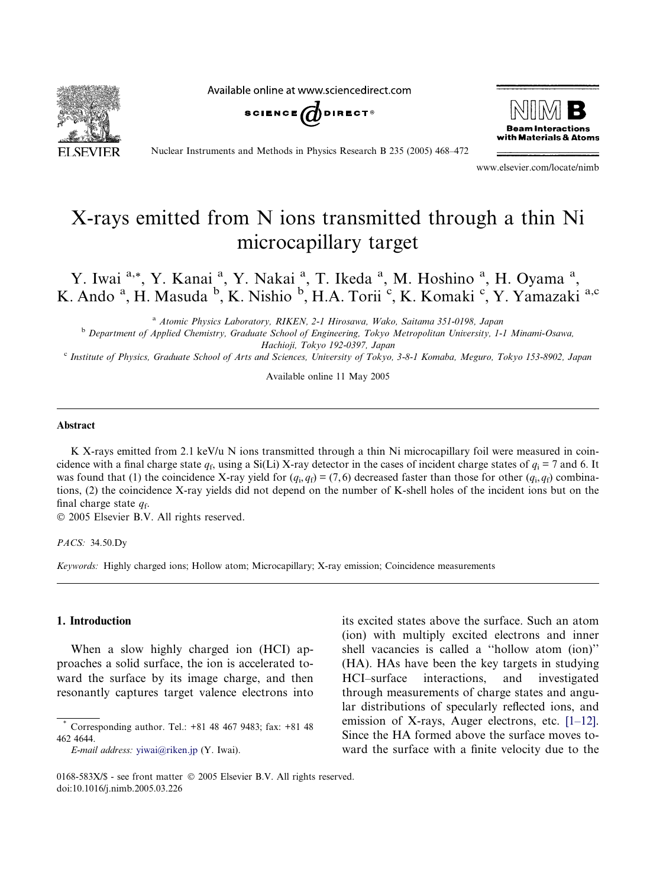Available online at www.sciencedirect.com







Nuclear Instruments and Methods in Physics Research B 235 (2005) 468–472

www.elsevier.com/locate/nimb

# X-rays emitted from N ions transmitted through a thin Ni microcapillary target

Y. Iwai <sup>a,\*</sup>, Y. Kanai <sup>a</sup>, Y. Nakai <sup>a</sup>, T. Ikeda <sup>a</sup>, M. Hoshino <sup>a</sup>, H. Oyama <sup>a</sup>, K. Ando <sup>a</sup>, H. Masuda <sup>b</sup>, K. Nishio <sup>b</sup>, H.A. Torii <sup>c</sup>, K. Komaki <sup>c</sup>, Y. Yamazaki <sup>a,c</sup>

<sup>a</sup> Atomic Physics Laboratory, RIKEN, 2-1 Hirosawa, Wako, Saitama 351-0198, Japan

<sup>b</sup> Department of Applied Chemistry, Graduate School of Engineering, Tokyo Metropolitan University, 1-1 Minami-Osawa, Hachioji, Tokyo 192-0397, Japan

<sup>c</sup> Institute of Physics, Graduate School of Arts and Sciences, University of Tokyo, 3-8-1 Komaba, Meguro, Tokyo 153-8902, Japan

Available online 11 May 2005

#### Abstract

K X-rays emitted from 2.1 keV/u N ions transmitted through a thin Ni microcapillary foil were measured in coincidence with a final charge state  $q_f$ , using a Si(Li) X-ray detector in the cases of incident charge states of  $q_i = 7$  and 6. It was found that (1) the coincidence X-ray yield for  $(q_i, q_f) = (7, 6)$  decreased faster than those for other  $(q_i, q_f)$  combinations, (2) the coincidence X-ray yields did not depend on the number of K-shell holes of the incident ions but on the final charge state  $q_f$ .

2005 Elsevier B.V. All rights reserved.

PACS: 34.50.Dy

Keywords: Highly charged ions; Hollow atom; Microcapillary; X-ray emission; Coincidence measurements

## 1. Introduction

When a slow highly charged ion (HCI) approaches a solid surface, the ion is accelerated toward the surface by its image charge, and then resonantly captures target valence electrons into its excited states above the surface. Such an atom (ion) with multiply excited electrons and inner shell vacancies is called a ''hollow atom (ion)'' (HA). HAs have been the key targets in studying HCI–surface interactions, and investigated through measurements of charge states and angular distributions of specularly reflected ions, and emission of X-rays, Auger electrons, etc. [\[1–12\]](#page-3-0). Since the HA formed above the surface moves toward the surface with a finite velocity due to the

Corresponding author. Tel.: +81 48 467 9483; fax: +81 48 462 4644.

E-mail address: [yiwai@riken.jp](mailto:yiwai@riken.jp) (Y. Iwai).

<sup>0168-583</sup>X/\$ - see front matter © 2005 Elsevier B.V. All rights reserved. doi:10.1016/j.nimb.2005.03.226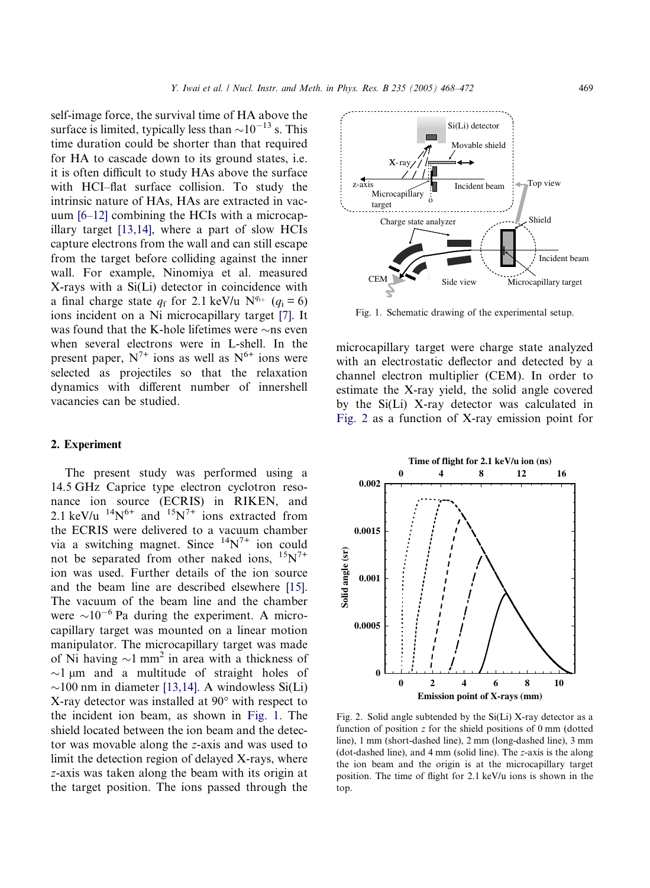<span id="page-1-0"></span>self-image force, the survival time of HA above the surface is limited, typically less than  $\sim$ 10<sup>-13</sup> s. This time duration could be shorter than that required for HA to cascade down to its ground states, i.e. it is often difficult to study HAs above the surface with HCI–flat surface collision. To study the intrinsic nature of HAs, HAs are extracted in vacuum [\[6–12\]](#page-3-0) combining the HCIs with a microcapillary target [\[13,14\],](#page-4-0) where a part of slow HCIs capture electrons from the wall and can still escape from the target before colliding against the inner wall. For example, Ninomiya et al. measured X-rays with a Si(Li) detector in coincidence with a final charge state  $q_f$  for 2.1 keV/u  $N^{q_{i+}}$  ( $q_i = 6$ ) ions incident on a Ni microcapillary target [\[7\]](#page-3-0). It was found that the K-hole lifetimes were  $\sim$ ns even when several electrons were in L-shell. In the present paper,  $N^{7+}$  ions as well as  $N^{6+}$  ions were selected as projectiles so that the relaxation dynamics with different number of innershell vacancies can be studied.

## 2. Experiment

The present study was performed using a 14.5 GHz Caprice type electron cyclotron resonance ion source (ECRIS) in RIKEN, and 2.1 keV/u  $^{14}N^{6+}$  and  $^{15}N^{7+}$  ions extracted from the ECRIS were delivered to a vacuum chamber via a switching magnet. Since  $^{14}N^{7+}$  ion could not be separated from other naked ions,  $15N^{7+}$ ion was used. Further details of the ion source and the beam line are described elsewhere [\[15\]](#page-4-0). The vacuum of the beam line and the chamber were  $\sim 10^{-6}$  Pa during the experiment. A microcapillary target was mounted on a linear motion manipulator. The microcapillary target was made of Ni having  $\sim$ 1 mm<sup>2</sup> in area with a thickness of  $\sim$ 1 µm and a multitude of straight holes of  $\sim$ 100 nm in diameter [\[13,14\].](#page-4-0) A windowless Si(Li) X-ray detector was installed at  $90^{\circ}$  with respect to the incident ion beam, as shown in Fig. 1. The shield located between the ion beam and the detector was movable along the z-axis and was used to limit the detection region of delayed X-rays, where z-axis was taken along the beam with its origin at the target position. The ions passed through the



Fig. 1. Schematic drawing of the experimental setup.

microcapillary target were charge state analyzed with an electrostatic deflector and detected by a channel electron multiplier (CEM). In order to estimate the X-ray yield, the solid angle covered by the Si(Li) X-ray detector was calculated in Fig. 2 as a function of X-ray emission point for



Fig. 2. Solid angle subtended by the Si(Li) X-ray detector as a function of position z for the shield positions of 0 mm (dotted line), 1 mm (short-dashed line), 2 mm (long-dashed line), 3 mm (dot-dashed line), and 4 mm (solid line). The z-axis is the along the ion beam and the origin is at the microcapillary target position. The time of flight for 2.1 keV/u ions is shown in the top.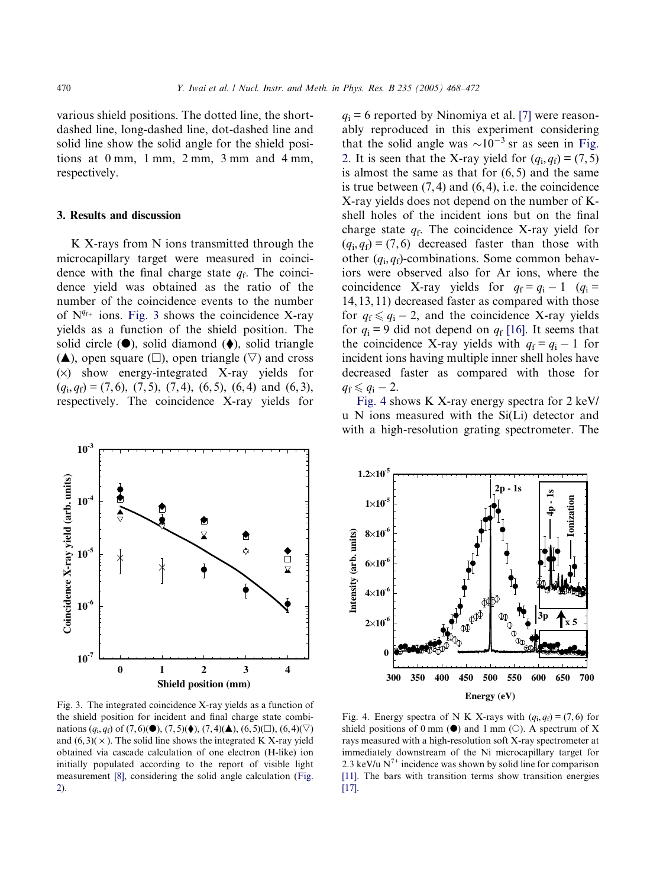<span id="page-2-0"></span>various shield positions. The dotted line, the shortdashed line, long-dashed line, dot-dashed line and solid line show the solid angle for the shield positions at 0 mm, 1 mm, 2 mm, 3 mm and 4 mm, respectively.

#### 3. Results and discussion

K X-rays from N ions transmitted through the microcapillary target were measured in coincidence with the final charge state  $q_f$ . The coincidence yield was obtained as the ratio of the number of the coincidence events to the number of  $N^{q_{f+}}$  ions. Fig. 3 shows the coincidence X-ray yields as a function of the shield position. The solid circle  $(①)$ , solid diamond  $(④)$ , solid triangle  $(\triangle)$ , open square ( $\square$ ), open triangle ( $\nabla$ ) and cross  $(x)$  show energy-integrated X-ray yields for  $(q_i,q_f) = (7,6)$ ,  $(7,5)$ ,  $(7,4)$ ,  $(6,5)$ ,  $(6,4)$  and  $(6,3)$ , respectively. The coincidence X-ray yields for

**10-3** Coincidence X-ray yield (arb. units) **Coincidence X-ray yield (arb. units) 10-4** ۰ ♦ **10-5** ♦  $\bullet$  $\overline{\mathbf{z}}$ **10-6 10-7 0 1 2 3 4 Shield position (mm)**

 $q_i = 6$  reported by Ninomiya et al. [\[7\]](#page-3-0) were reasonably reproduced in this experiment considering that the solid angle was  $\sim 10^{-3}$  sr as seen in [Fig.](#page-1-0) [2.](#page-1-0) It is seen that the X-ray yield for  $(q_i, q_f) = (7, 5)$ is almost the same as that for  $(6, 5)$  and the same is true between  $(7, 4)$  and  $(6, 4)$ , i.e. the coincidence X-ray yields does not depend on the number of Kshell holes of the incident ions but on the final charge state  $q_f$ . The coincidence X-ray yield for  $(q_i, q_f) = (7, 6)$  decreased faster than those with other  $(q_i, q_f)$ -combinations. Some common behaviors were observed also for Ar ions, where the coincidence X-ray yields for  $q_f = q_i - 1$   $(q_i =$ 14, 13, 11) decreased faster as compared with those for  $q_f \leq q_i - 2$ , and the coincidence X-ray yields for  $q_i = 9$  did not depend on  $q_f$  [\[16\].](#page-4-0) It seems that the coincidence X-ray yields with  $q_f = q_i - 1$  for incident ions having multiple inner shell holes have decreased faster as compared with those for  $q_{\rm f} \leqslant q_{\rm i} - 2.$ 

Fig. 4 shows K X-ray energy spectra for 2 keV/ u N ions measured with the Si(Li) detector and with a high-resolution grating spectrometer. The



Fig. 3. The integrated coincidence X-ray yields as a function of the shield position for incident and final charge state combinations  $(q_i, q_f)$  of  $(7, 6)(\bullet)$ ,  $(7, 5)(\bullet)$ ,  $(7, 4)(\bullet)$ ,  $(6, 5)(\Box)$ ,  $(6, 4)(\nabla)$ and  $(6, 3)(\times)$ . The solid line shows the integrated K X-ray yield obtained via cascade calculation of one electron (H-like) ion initially populated according to the report of visible light measurement [\[8\]](#page-3-0), considering the solid angle calculation [\(Fig.](#page-1-0) [2](#page-1-0)).

Fig. 4. Energy spectra of N K X-rays with  $(q_i, q_f) = (7, 6)$  for shield positions of 0 mm  $(\bullet)$  and 1 mm  $(\circ)$ . A spectrum of X rays measured with a high-resolution soft X-ray spectrometer at immediately downstream of the Ni microcapillary target for 2.3 keV/u  $N^{7+}$  incidence was shown by solid line for comparison [\[11\].](#page-3-0) The bars with transition terms show transition energies [\[17\].](#page-4-0)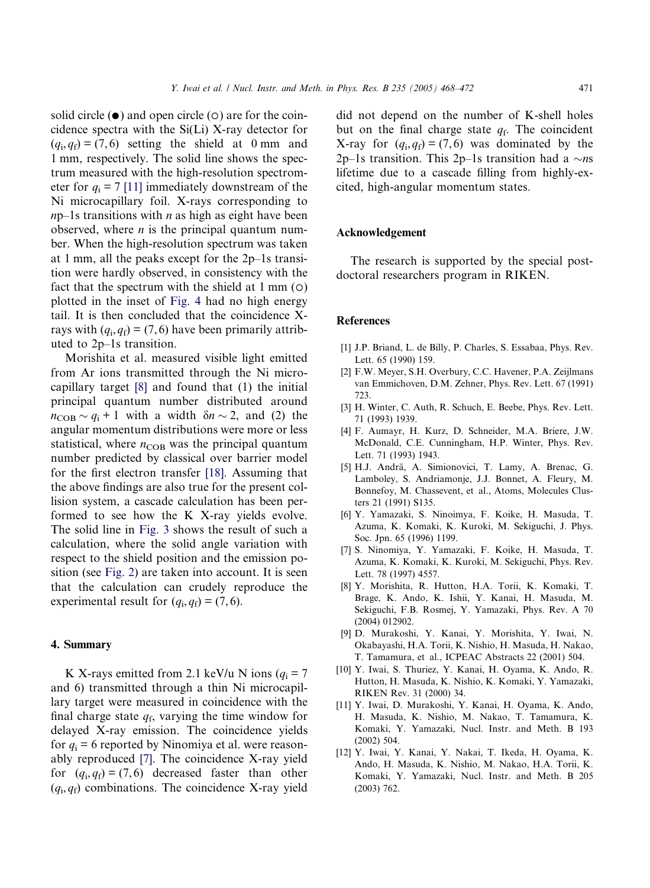<span id="page-3-0"></span>solid circle  $(\bullet)$  and open circle  $(\circ)$  are for the coincidence spectra with the Si(Li) X-ray detector for  $(q_i,q_f) = (7,6)$  setting the shield at 0 mm and 1 mm, respectively. The solid line shows the spectrum measured with the high-resolution spectrometer for  $q_i = 7$  [11] immediately downstream of the Ni microcapillary foil. X-rays corresponding to  $np-1s$  transitions with *n* as high as eight have been observed, where  $n$  is the principal quantum number. When the high-resolution spectrum was taken at 1 mm, all the peaks except for the 2p–1s transition were hardly observed, in consistency with the fact that the spectrum with the shield at  $1 \text{ mm}$  ( $\circ$ ) plotted in the inset of [Fig. 4](#page-2-0) had no high energy tail. It is then concluded that the coincidence Xrays with  $(q_i, q_f) = (7, 6)$  have been primarily attributed to 2p–1s transition.

Morishita et al. measured visible light emitted from Ar ions transmitted through the Ni microcapillary target [8] and found that (1) the initial principal quantum number distributed around  $n_{\text{COB}} \sim q_i + 1$  with a width  $\delta n \sim 2$ , and (2) the angular momentum distributions were more or less statistical, where  $n_{\text{COB}}$  was the principal quantum number predicted by classical over barrier model for the first electron transfer [\[18\]](#page-4-0). Assuming that the above findings are also true for the present collision system, a cascade calculation has been performed to see how the K X-ray yields evolve. The solid line in [Fig. 3](#page-2-0) shows the result of such a calculation, where the solid angle variation with respect to the shield position and the emission position (see [Fig. 2\)](#page-1-0) are taken into account. It is seen that the calculation can crudely reproduce the experimental result for  $(q_i, q_f) = (7, 6)$ .

## 4. Summary

K X-rays emitted from 2.1 keV/u N ions ( $q_i = 7$ and 6) transmitted through a thin Ni microcapillary target were measured in coincidence with the final charge state  $q_f$ , varying the time window for delayed X-ray emission. The coincidence yields for  $q_i = 6$  reported by Ninomiya et al. were reasonably reproduced [7]. The coincidence X-ray yield for  $(q_i, q_f) = (7, 6)$  decreased faster than other  $(q_i,q_f)$  combinations. The coincidence X-ray yield

did not depend on the number of K-shell holes but on the final charge state  $q_f$ . The coincident X-ray for  $(q_i, q_f) = (7, 6)$  was dominated by the 2p–1s transition. This 2p–1s transition had a  $\sim$ ns lifetime due to a cascade filling from highly-excited, high-angular momentum states.

#### Acknowledgement

The research is supported by the special postdoctoral researchers program in RIKEN.

## References

- [1] J.P. Briand, L. de Billy, P. Charles, S. Essabaa, Phys. Rev. Lett. 65 (1990) 159.
- [2] F.W. Meyer, S.H. Overbury, C.C. Havener, P.A. Zeijlmans van Emmichoven, D.M. Zehner, Phys. Rev. Lett. 67 (1991) 723.
- [3] H. Winter, C. Auth, R. Schuch, E. Beebe, Phys. Rev. Lett. 71 (1993) 1939.
- [4] F. Aumayr, H. Kurz, D. Schneider, M.A. Briere, J.W. McDonald, C.E. Cunningham, H.P. Winter, Phys. Rev. Lett. 71 (1993) 1943.
- [5] H.J. Andrä, A. Simionovici, T. Lamy, A. Brenac, G. Lamboley, S. Andriamonje, J.J. Bonnet, A. Fleury, M. Bonnefoy, M. Chassevent, et al., Atoms, Molecules Clusters 21 (1991) S135.
- [6] Y. Yamazaki, S. Ninoimya, F. Koike, H. Masuda, T. Azuma, K. Komaki, K. Kuroki, M. Sekiguchi, J. Phys. Soc. Jpn. 65 (1996) 1199.
- [7] S. Ninomiya, Y. Yamazaki, F. Koike, H. Masuda, T. Azuma, K. Komaki, K. Kuroki, M. Sekiguchi, Phys. Rev. Lett. 78 (1997) 4557.
- [8] Y. Morishita, R. Hutton, H.A. Torii, K. Komaki, T. Brage, K. Ando, K. Ishii, Y. Kanai, H. Masuda, M. Sekiguchi, F.B. Rosmej, Y. Yamazaki, Phys. Rev. A 70 (2004) 012902.
- [9] D. Murakoshi, Y. Kanai, Y. Morishita, Y. Iwai, N. Okabayashi, H.A. Torii, K. Nishio, H. Masuda, H. Nakao, T. Tamamura, et al., ICPEAC Abstracts 22 (2001) 504.
- [10] Y. Iwai, S. Thuriez, Y. Kanai, H. Oyama, K. Ando, R. Hutton, H. Masuda, K. Nishio, K. Komaki, Y. Yamazaki, RIKEN Rev. 31 (2000) 34.
- [11] Y. Iwai, D. Murakoshi, Y. Kanai, H. Oyama, K. Ando, H. Masuda, K. Nishio, M. Nakao, T. Tamamura, K. Komaki, Y. Yamazaki, Nucl. Instr. and Meth. B 193 (2002) 504.
- [12] Y. Iwai, Y. Kanai, Y. Nakai, T. Ikeda, H. Oyama, K. Ando, H. Masuda, K. Nishio, M. Nakao, H.A. Torii, K. Komaki, Y. Yamazaki, Nucl. Instr. and Meth. B 205 (2003) 762.